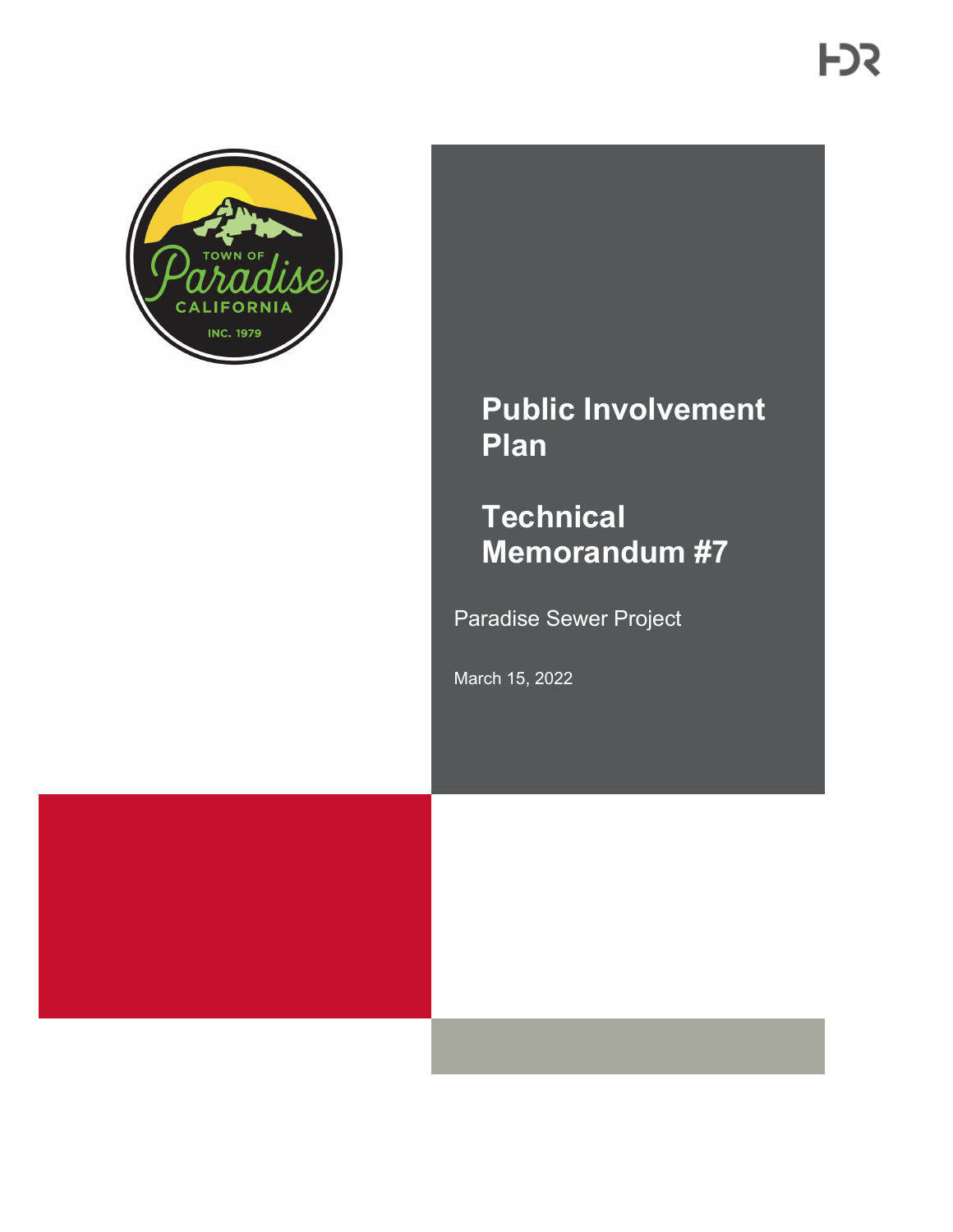

### **Public Involvement Plan**

## **Technical Memorandum #7**

Paradise Sewer Project

March 15, 2022

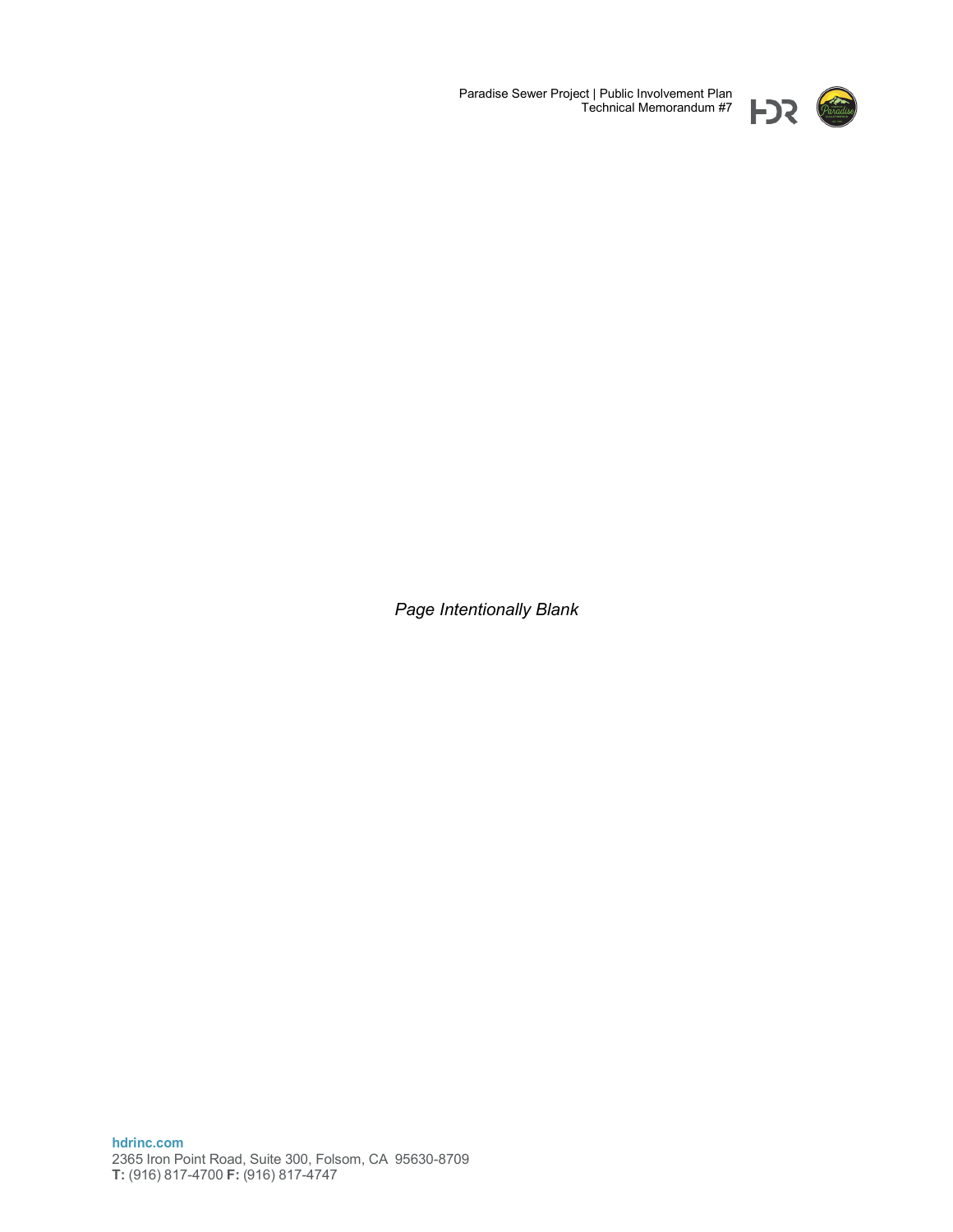Paradise Sewer Project | Public Involvement Plan Technical Memorandum #7



*Page Intentionally Blank*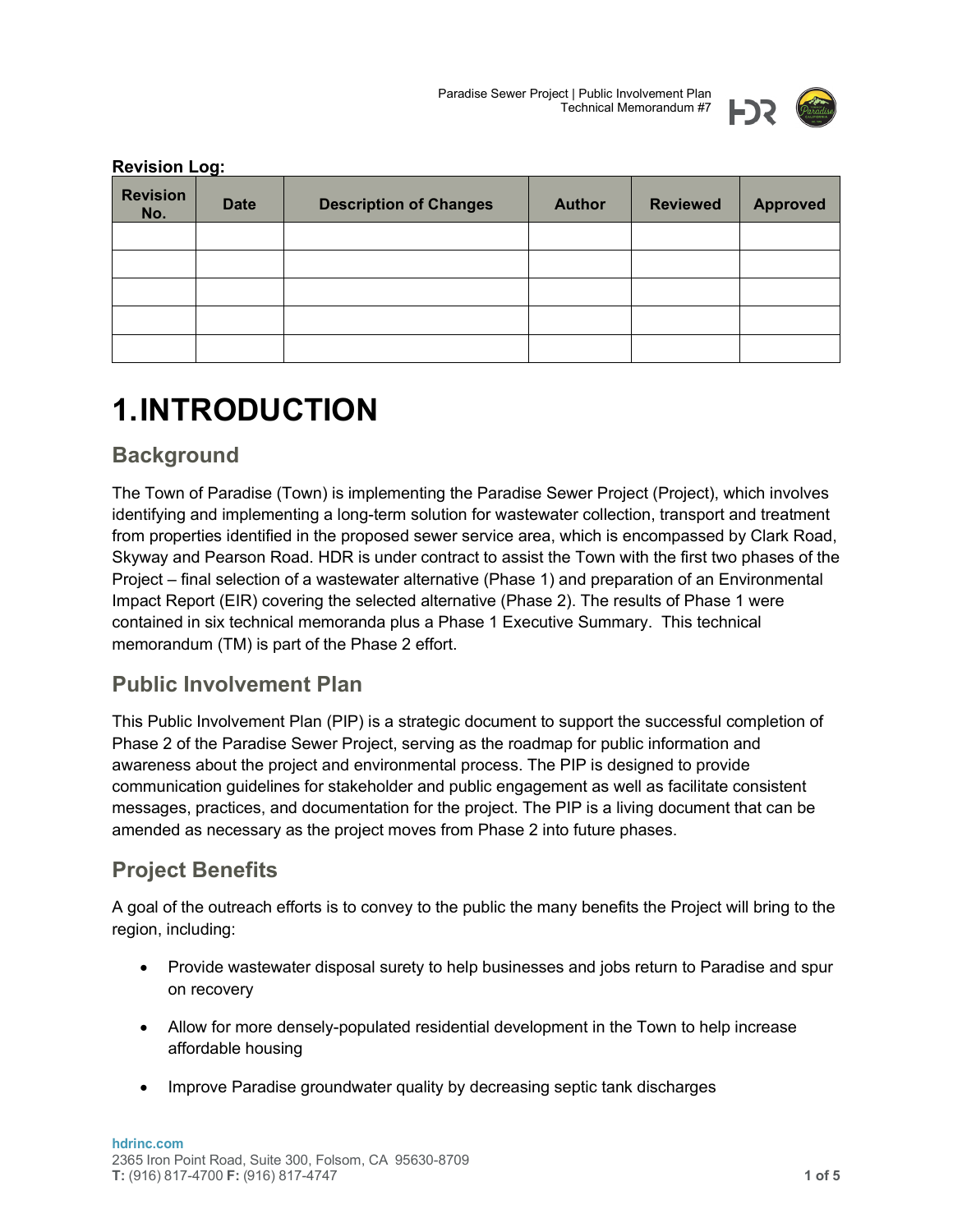

| <b>Revision</b><br>No. | <b>Date</b> | <b>Description of Changes</b> | <b>Author</b> | <b>Reviewed</b> | <b>Approved</b> |
|------------------------|-------------|-------------------------------|---------------|-----------------|-----------------|
|                        |             |                               |               |                 |                 |
|                        |             |                               |               |                 |                 |
|                        |             |                               |               |                 |                 |
|                        |             |                               |               |                 |                 |
|                        |             |                               |               |                 |                 |

#### **Revision Log:**

# **1.INTRODUCTION**

#### **Background**

The Town of Paradise (Town) is implementing the Paradise Sewer Project (Project), which involves identifying and implementing a long-term solution for wastewater collection, transport and treatment from properties identified in the proposed sewer service area, which is encompassed by Clark Road, Skyway and Pearson Road. HDR is under contract to assist the Town with the first two phases of the Project – final selection of a wastewater alternative (Phase 1) and preparation of an Environmental Impact Report (EIR) covering the selected alternative (Phase 2). The results of Phase 1 were contained in six technical memoranda plus a Phase 1 Executive Summary. This technical memorandum (TM) is part of the Phase 2 effort.

#### **Public Involvement Plan**

This Public Involvement Plan (PIP) is a strategic document to support the successful completion of Phase 2 of the Paradise Sewer Project, serving as the roadmap for public information and awareness about the project and environmental process. The PIP is designed to provide communication guidelines for stakeholder and public engagement as well as facilitate consistent messages, practices, and documentation for the project. The PIP is a living document that can be amended as necessary as the project moves from Phase 2 into future phases.

#### **Project Benefits**

A goal of the outreach efforts is to convey to the public the many benefits the Project will bring to the region, including:

- Provide wastewater disposal surety to help businesses and jobs return to Paradise and spur on recovery
- Allow for more densely-populated residential development in the Town to help increase affordable housing
- Improve Paradise groundwater quality by decreasing septic tank discharges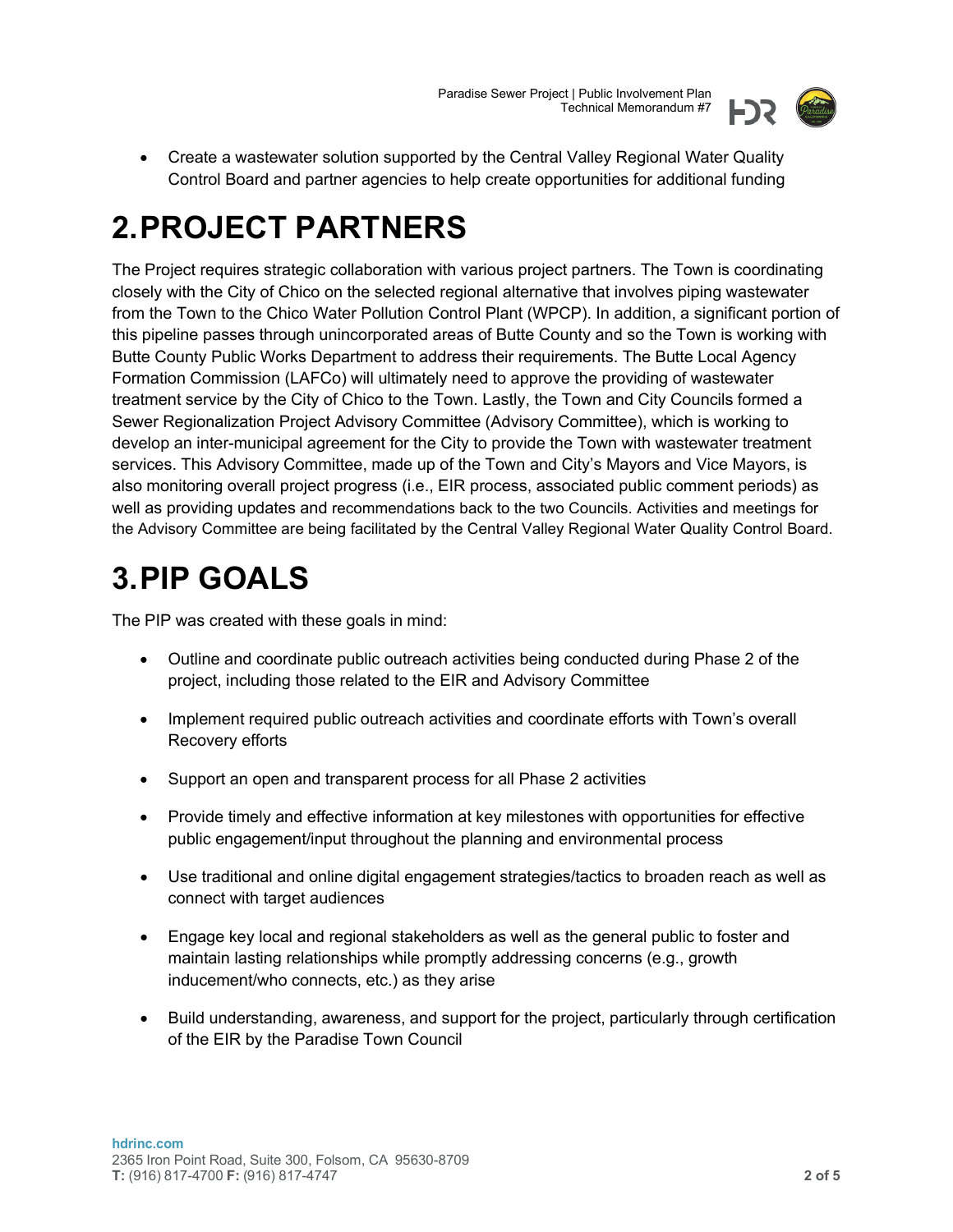

• Create a wastewater solution supported by the Central Valley Regional Water Quality Control Board and partner agencies to help create opportunities for additional funding

# **2.PROJECT PARTNERS**

The Project requires strategic collaboration with various project partners. The Town is coordinating closely with the City of Chico on the selected regional alternative that involves piping wastewater from the Town to the Chico Water Pollution Control Plant (WPCP). In addition, a significant portion of this pipeline passes through unincorporated areas of Butte County and so the Town is working with Butte County Public Works Department to address their requirements. The Butte Local Agency Formation Commission (LAFCo) will ultimately need to approve the providing of wastewater treatment service by the City of Chico to the Town. Lastly, the Town and City Councils formed a Sewer Regionalization Project Advisory Committee (Advisory Committee), which is working to develop an inter-municipal agreement for the City to provide the Town with wastewater treatment services. This Advisory Committee, made up of the Town and City's Mayors and Vice Mayors, is also monitoring overall project progress (i.e., EIR process, associated public comment periods) as well as providing updates and recommendations back to the two Councils. Activities and meetings for the Advisory Committee are being facilitated by the Central Valley Regional Water Quality Control Board.

# **3.PIP GOALS**

The PIP was created with these goals in mind:

- Outline and coordinate public outreach activities being conducted during Phase 2 of the project, including those related to the EIR and Advisory Committee
- Implement required public outreach activities and coordinate efforts with Town's overall Recovery efforts
- Support an open and transparent process for all Phase 2 activities
- Provide timely and effective information at key milestones with opportunities for effective public engagement/input throughout the planning and environmental process
- Use traditional and online digital engagement strategies/tactics to broaden reach as well as connect with target audiences
- Engage key local and regional stakeholders as well as the general public to foster and maintain lasting relationships while promptly addressing concerns (e.g., growth inducement/who connects, etc.) as they arise
- Build understanding, awareness, and support for the project, particularly through certification of the EIR by the Paradise Town Council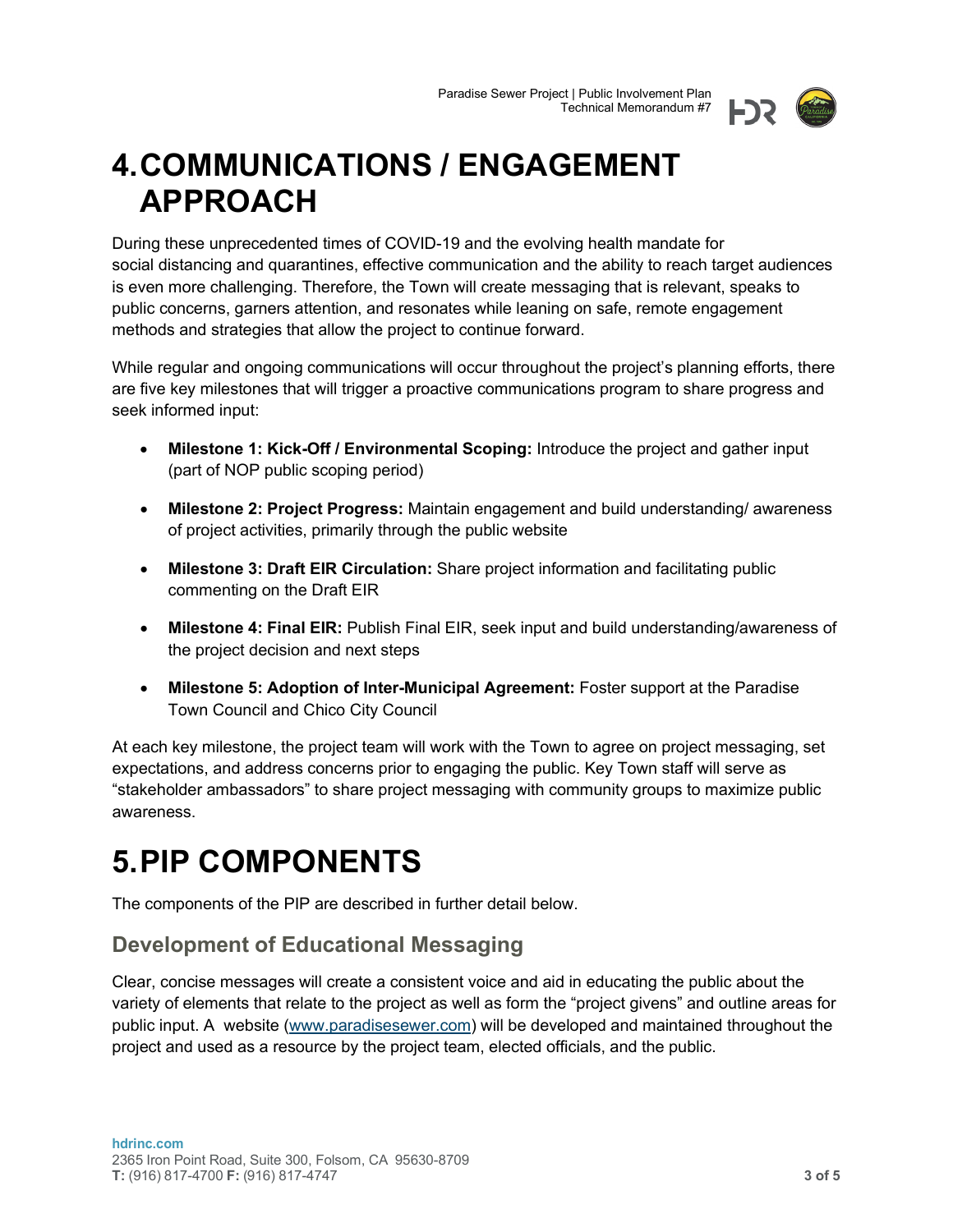

# **4.COMMUNICATIONS / ENGAGEMENT APPROACH**

During these unprecedented times of COVID-19 and the evolving health mandate for social distancing and quarantines, effective communication and the ability to reach target audiences is even more challenging. Therefore, the Town will create messaging that is relevant, speaks to public concerns, garners attention, and resonates while leaning on safe, remote engagement methods and strategies that allow the project to continue forward.

While regular and ongoing communications will occur throughout the project's planning efforts, there are five key milestones that will trigger a proactive communications program to share progress and seek informed input:

- **Milestone 1: Kick-Off / Environmental Scoping:** Introduce the project and gather input (part of NOP public scoping period)
- **Milestone 2: Project Progress:** Maintain engagement and build understanding/ awareness of project activities, primarily through the public website
- **Milestone 3: Draft EIR Circulation:** Share project information and facilitating public commenting on the Draft EIR
- **Milestone 4: Final EIR:** Publish Final EIR, seek input and build understanding/awareness of the project decision and next steps
- **Milestone 5: Adoption of Inter-Municipal Agreement:** Foster support at the Paradise Town Council and Chico City Council

At each key milestone, the project team will work with the Town to agree on project messaging, set expectations, and address concerns prior to engaging the public. Key Town staff will serve as "stakeholder ambassadors" to share project messaging with community groups to maximize public awareness.

## **5.PIP COMPONENTS**

The components of the PIP are described in further detail below.

### **Development of Educational Messaging**

Clear, concise messages will create a consistent voice and aid in educating the public about the variety of elements that relate to the project as well as form the "project givens" and outline areas for public input. A website [\(www.paradisesewer.com\)](http://www.paradisesewer.com/) will be developed and maintained throughout the project and used as a resource by the project team, elected officials, and the public.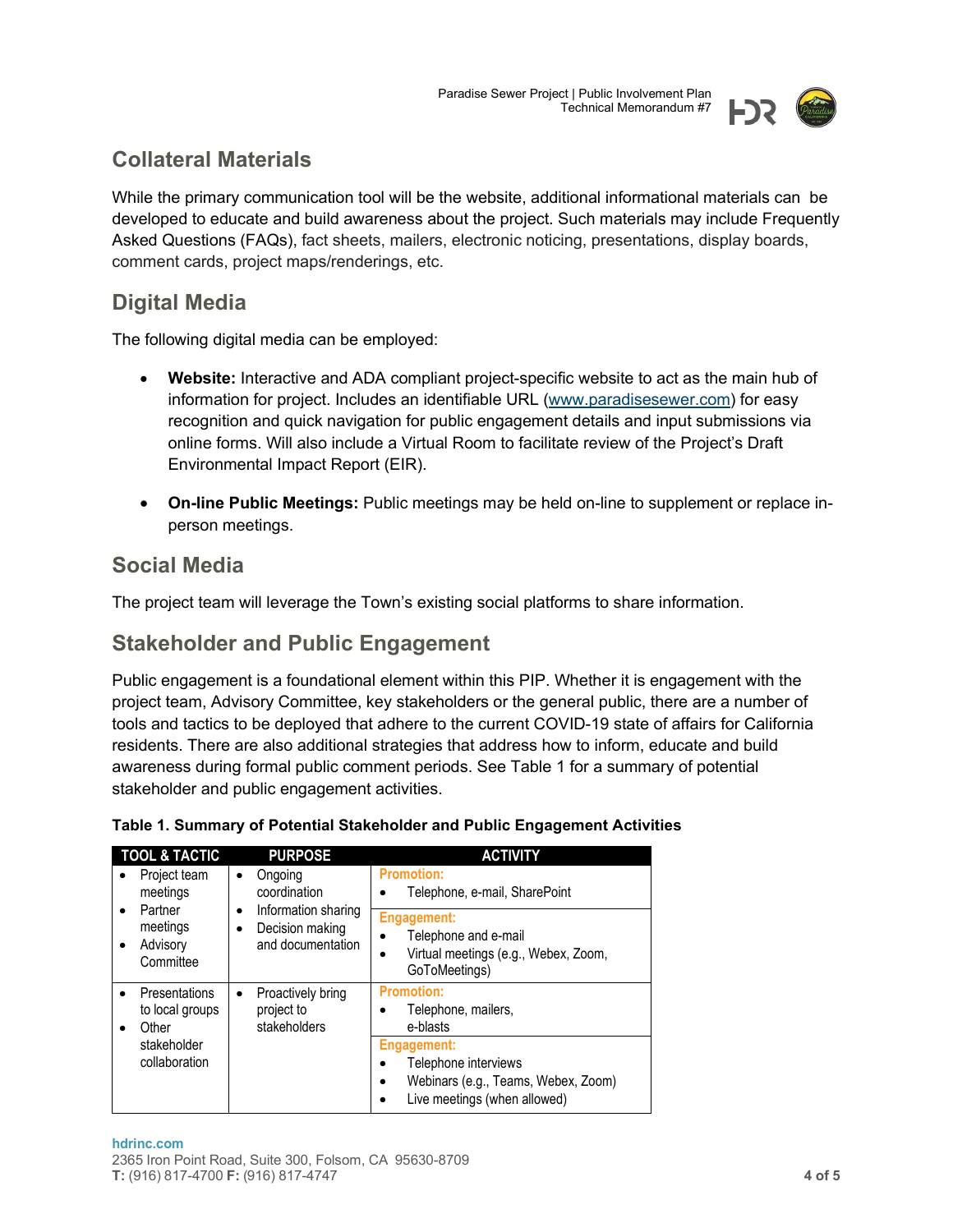

### **Collateral Materials**

While the primary communication tool will be the website, additional informational materials can be developed to educate and build awareness about the project. Such materials may include Frequently Asked Questions (FAQs), fact sheets, mailers, electronic noticing, presentations, display boards, comment cards, project maps/renderings, etc.

#### **Digital Media**

The following digital media can be employed:

- **Website:** Interactive and ADA compliant project-specific website to act as the main hub of information for project. Includes an identifiable URL [\(www.paradisesewer.com\)](http://www.paradisesewer.com/) for easy recognition and quick navigation for public engagement details and input submissions via online forms. Will also include a Virtual Room to facilitate review of the Project's Draft Environmental Impact Report (EIR).
- **On-line Public Meetings:** Public meetings may be held on-line to supplement or replace inperson meetings.

#### **Social Media**

The project team will leverage the Town's existing social platforms to share information.

### **Stakeholder and Public Engagement**

Public engagement is a foundational element within this PIP. Whether it is engagement with the project team, Advisory Committee, key stakeholders or the general public, there are a number of tools and tactics to be deployed that adhere to the current COVID-19 state of affairs for California residents. There are also additional strategies that address how to inform, educate and build awareness during formal public comment periods. See Table 1 for a summary of potential stakeholder and public engagement activities.

| <b>TOOL &amp; TACTIC</b><br><b>PURPOSE</b>   |                                                                                                                               | <b>ACTIVITY</b>                                                                                                   |
|----------------------------------------------|-------------------------------------------------------------------------------------------------------------------------------|-------------------------------------------------------------------------------------------------------------------|
| Project team<br>meetings                     | Ongoing<br>$\bullet$<br>coordination<br>Information sharing<br>$\bullet$<br>Decision making<br>$\bullet$<br>and documentation | <b>Promotion:</b><br>Telephone, e-mail, SharePoint                                                                |
| Partner<br>meetings<br>Advisory<br>Committee |                                                                                                                               | <b>Engagement:</b><br>Telephone and e-mail<br>Virtual meetings (e.g., Webex, Zoom,<br>٠<br>GoToMeetings)          |
| Presentations<br>to local groups<br>Other    | Proactively bring<br>$\bullet$<br>project to<br>stakeholders                                                                  | <b>Promotion:</b><br>Telephone, mailers,<br>e-blasts                                                              |
| stakeholder<br>collaboration                 |                                                                                                                               | <b>Engagement:</b><br>Telephone interviews<br>Webinars (e.g., Teams, Webex, Zoom)<br>Live meetings (when allowed) |

#### **Table 1. Summary of Potential Stakeholder and Public Engagement Activities**